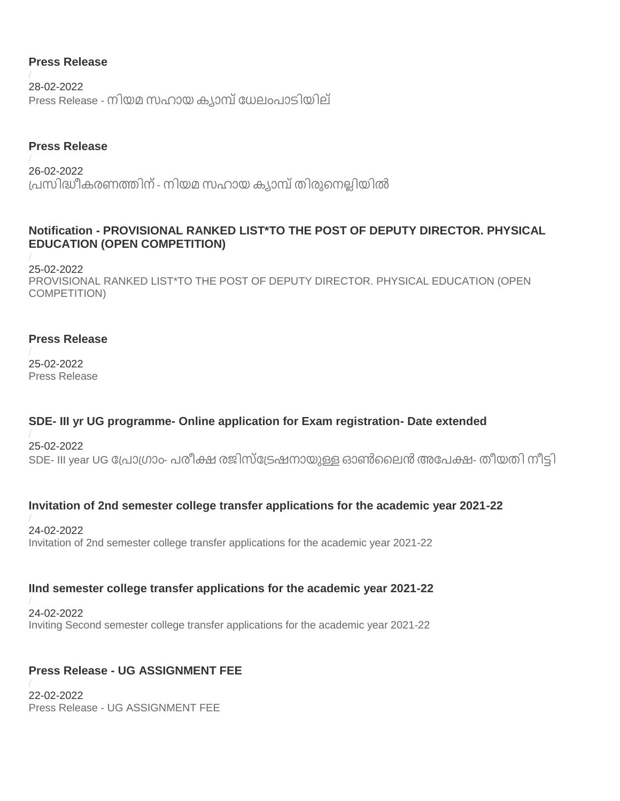## **Press Release**

28-02-2022 Press Release - നിയമ സഹായ [ക്യാമ്പ്ധേലംപാടിയില്](https://www.kannuruniversity.ac.in/media/documents/niyamasahayam_manjeswram_campus-converted_1.pdf)

### **Press Release**

26-02-2022 പ്പസിദ്ധീക്രണത്തിന്- നിയമ സഹായ [ക്യാമ്പ്തിരുനനല്ലിയിൽ](https://www.kannuruniversity.ac.in/media/documents/niyama_sahaya_camp_20-02-2022-converted_9z69TXg.pdf)

## **Notification - PROVISIONAL RANKED LIST\*TO THE POST OF DEPUTY DIRECTOR. PHYSICAL EDUCATION (OPEN COMPETITION)**

25-02-2022 [PROVISIONAL RANKED LIST\\*TO THE POST OF DEPUTY DIRECTOR. PHYSICAL EDUCATION \(OPEN](https://www.kannuruniversity.ac.in/media/documents/Nofication.pdf)  [COMPETITION\)](https://www.kannuruniversity.ac.in/media/documents/Nofication.pdf)

#### **Press Release**

25-02-2022 [Press Release](https://www.kannuruniversity.ac.in/media/documents/Press_Release_1_estaYHR.pdf)

## **SDE- III yr UG programme- Online application for Exam registration- Date extended**

25-02-2022 SDE- III year UG പ്രോഗ്രാം- പരീക്ഷ രജിസ്ട്രേഷനായുള്ള ഓൺലൈൻ അപേക്ഷ- തീയതി നീട്ടി

## **Invitation of 2nd semester college transfer applications for the academic year 2021-22**

24-02-2022 [Invitation of 2nd semester college transfer applications for the academic year 2021-22](https://www.kannuruniversity.ac.in/media/documents/acad_d4-1_ZcsgUwO.pdf)

#### **IInd semester college transfer applications for the academic year 2021-22**

24-02-2022 [Inviting Second semester college transfer applications for the academic year 2021-22](https://www.kannuruniversity.ac.in/media/documents/acad_d4-2_1.pdf)

## **Press Release - UG ASSIGNMENT FEE**

22-02-2022 Press Release - [UG ASSIGNMENT FEE](https://www.kannuruniversity.ac.in/media/documents/PRESS_RELEASE-_UG_ASSIGNMENT_FEE_-_DATED_21_02_2022_1.pdf)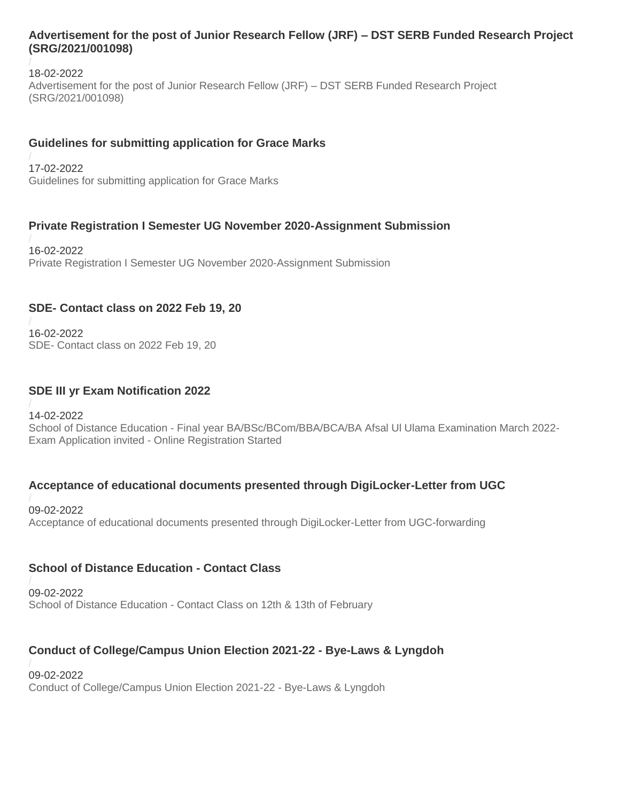#### **Advertisement for the post of Junior Research Fellow (JRF) – DST SERB Funded Research Project (SRG/2021/001098)**

18-02-2022 [Advertisement for the post of Junior Research Fellow \(JRF\) –](https://www.kannuruniversity.ac.in/media/documents/JRF_advertisement.pdf) DST SERB Funded Research Project [\(SRG/2021/001098\)](https://www.kannuruniversity.ac.in/media/documents/JRF_advertisement.pdf)

#### **Guidelines for submitting application for Grace Marks**

17-02-2022 [Guidelines for submitting application for Grace Marks](https://www.kannuruniversity.ac.in/media/documents/Grace_Mark_2019-21_2.pdf)

## **Private Registration I Semester UG November 2020-Assignment Submission**

16-02-2022 [Private Registration I Semester UG November 2020-Assignment Submission](https://www.kannuruniversity.ac.in/media/documents/Ist_Sem_Assignment.pdf)

#### **SDE- Contact class on 2022 Feb 19, 20**

16-02-2022 SDE- [Contact class on 2022 Feb 19, 20](https://www.kannuruniversity.ac.in/media/documents/Contact_class_CylAlGV.pdf)

#### **SDE III yr Exam Notification 2022**

14-02-2022 School of Distance Education - [Final year BA/BSc/BCom/BBA/BCA/BA Afsal Ul Ulama Examination March 2022-](https://www.kannuruniversity.ac.in/media/documents/SDE_III_yr_Exam_notfn_1.pdf) Exam Application invited - [Online Registration Started](https://www.kannuruniversity.ac.in/media/documents/SDE_III_yr_Exam_notfn_1.pdf)

#### **Acceptance of educational documents presented through DigiLocker-Letter from UGC**

09-02-2022 [Acceptance of educational documents presented through DigiLocker-Letter from UGC-forwarding](https://www.kannuruniversity.ac.in/media/documents/0790412_DigiLocker-Platform_001.pdf)

## **School of Distance Education - Contact Class**

09-02-2022 School of Distance Education - [Contact Class on 12th & 13th of February](https://www.kannuruniversity.ac.in/media/documents/contact_clss1213.pdf)

## **Conduct of College/Campus Union Election 2021-22 - Bye-Laws & Lyngdoh**

09-02-2022 [Conduct of College/Campus Union Election 2021-22 -](https://www.kannuruniversity.ac.in/media/documents/Bye-Laws__Lyngdoh.pdf) Bye-Laws & Lyngdoh